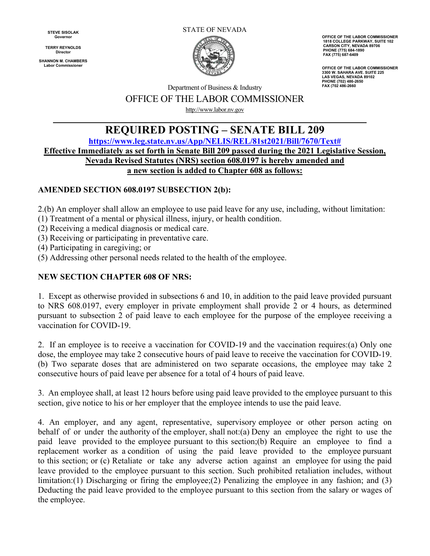**STEVE SISOLAK Governor**

**TERRY REYNOLDS Director** 

**SHANNON M. CHAMBERS Labor Commissioner**

STATE OF NEVADA



 **OFFICE OF THE LABOR COMMISSIONER 1818 COLLEGE PARKWAY, SUI TE 102 CARSON CITY, NEVADA 89706 PHONE (775) 684-1890 FAX (775) 687-6409**

OFFICE OF THE LABOR COMMISSIONER<br>3300 W. SAHARA AVE. SUITE 225  **LAS VEGAS, NEVADA 89102 PHONE (702) 486-2650 FAX (702 486-2660**

## Department of Business & Industry OFFICE OF THE LABOR COMMISSIONER [http://www.labor.nv.gov](http://www.labor.nv.gov/)

 **REQUIRED POSTING – SENATE BILL 209 [https://www.leg.state.nv.us/App/NELIS/REL/81st2021/Bill/7670/Text#](https://www.leg.state.nv.us/App/NELIS/REL/81st2021/Bill/7670/Text) Effective Immediately as set forth in Senate Bill 209 passed during the 2021 Legislative Session, Nevada Revised Statutes (NRS) section 608.0197 is hereby amended and a new section is added to Chapter 608 as follows:** 

## **AMENDED SECTION 608.0197 SUBSECTION 2(b):**

2.(b) An employer shall allow an employee to use paid leave for any use, including, without limitation:

- (1) Treatment of a mental or physical illness, injury, or health condition.
- (2) Receiving a medical diagnosis or medical care.
- (3) Receiving or participating in preventative care.
- (4) Participating in caregiving; or
- (5) Addressing other personal needs related to the health of the employee.

## **NEW SECTION CHAPTER 608 OF NRS:**

1. Except as otherwise provided in subsections 6 and 10, in addition to the paid leave provided pursuant to NRS 608.0197, every employer in private employment shall provide 2 or 4 hours, as determined pursuant to subsection 2 of paid leave to each employee for the purpose of the employee receiving a vaccination for COVID-19.

2. If an employee is to receive a vaccination for COVID-19 and the vaccination requires:(a) Only one dose, the employee may take 2 consecutive hours of paid leave to receive the vaccination for COVID-19. (b) Two separate doses that are administered on two separate occasions, the employee may take 2 consecutive hours of paid leave per absence for a total of 4 hours of paid leave.

3. An employee shall, at least 12 hours before using paid leave provided to the employee pursuant to this section, give notice to his or her employer that the employee intends to use the paid leave.

4. An employer, and any agent, representative, supervisory employee or other person acting on behalf of or under the authority of the employer, shall not:(a) Deny an employee the right to use the paid leave provided to the employee pursuant to this section;(b) Require an employee to find a replacement worker as a condition of using the paid leave provided to the employee pursuant to this section; or (c) Retaliate or take any adverse action against an employee for using the paid leave provided to the employee pursuant to this section. Such prohibited retaliation includes, without limitation:(1) Discharging or firing the employee;(2) Penalizing the employee in any fashion; and (3) Deducting the paid leave provided to the employee pursuant to this section from the salary or wages of the employee.